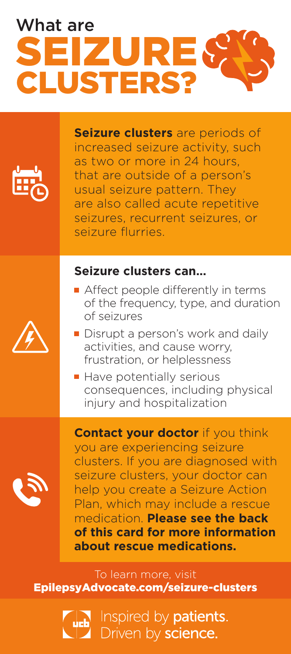## SEIZURE CLUSTERS? What are



**Seizure clusters** are periods of increased seizure activity, such as two or more in 24 hours, that are outside of a person's usual seizure pattern. They are also called acute repetitive seizures, recurrent seizures, or seizure flurries.

### **Seizure clusters can…**

- Affect people differently in terms of the frequency, type, and duration of seizures
- Disrupt a person's work and daily activities, and cause worry, frustration, or helplessness
- Have potentially serious consequences, including physical injury and hospitalization

**Contact your doctor** if you think you are experiencing seizure clusters. If you are diagnosed with seizure clusters, your doctor can help you create a Seizure Action Plan, which may include a rescue medication. **Please see the back of this card for more information about rescue medications.**

To learn more, visit EpilepsyAdvocate.com/seizure-clusters

### Inspired by **patients.** Driven by science.